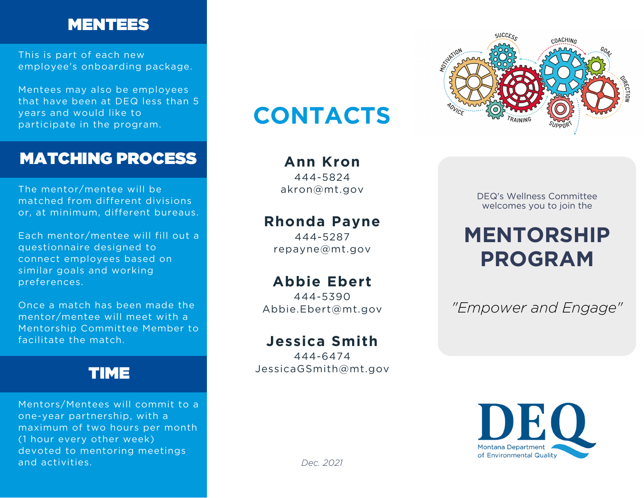### MENTEES

This is part of each new employee's onboarding package.

Mentees may also be employees that have been at DEQ less than 5 years and would like to participate in the program.

### MATCHING PROCESS

The mentor/mentee will be matched from different divisions or, at minimum, different bureaus.

Each mentor/mentee will fill out a questionnaire designed to connect employees based on similar goals and working preferences.

Once a match has been made the mentor/mentee will meet with a Mentorship Committee Member to facilitate the match.

### TIME

Mentors/Mentees will commit to a one-year partnership, with a maximum of two hours per month (1 hour every other week) devoted to mentoring meetings and activities.

# **CONTACTS**

**Ann Kron** 444-5824

akron@mt.gov

#### **Rhonda Payne**

444-5287 repayne@mt.gov

### **Abbie Ebert**

444-5390 Abbie.Ebert@mt.gov

### **Jessica Smith**

444-6474 JessicaGSmith@mt.gov



DEQ's Wellness Committee welcomes you to join the

# **MENTORSHIP PROGRAM**

*"Empower and Engage"*



*Dec. 2021*